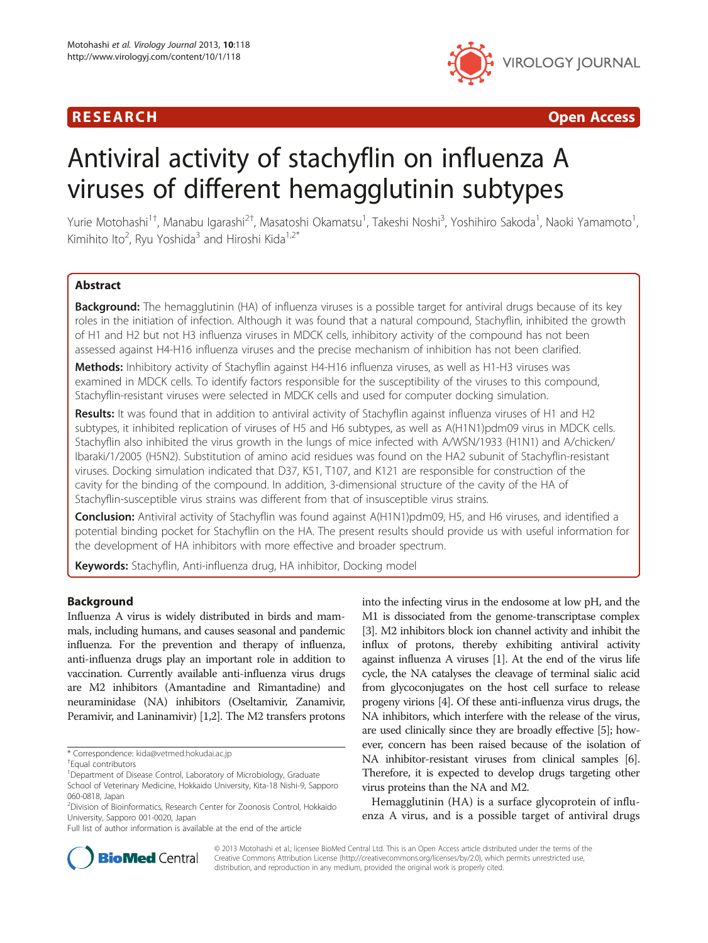

R E S EAR CH Open Access

# Antiviral activity of stachyflin on influenza A viruses of different hemagglutinin subtypes

Yurie Motohashi<sup>1†</sup>, Manabu Igarashi<sup>2†</sup>, Masatoshi Okamatsu<sup>1</sup>, Takeshi Noshi<sup>3</sup>, Yoshihiro Sakoda<sup>1</sup>, Naoki Yamamoto<sup>1</sup> , Kimihito Ito<sup>2</sup>, Ryu Yoshida<sup>3</sup> and Hiroshi Kida<sup>1,2\*</sup>

# **Abstract**

**Background:** The hemagglutinin (HA) of influenza viruses is a possible target for antiviral drugs because of its key roles in the initiation of infection. Although it was found that a natural compound, Stachyflin, inhibited the growth of H1 and H2 but not H3 influenza viruses in MDCK cells, inhibitory activity of the compound has not been assessed against H4-H16 influenza viruses and the precise mechanism of inhibition has not been clarified.

Methods: Inhibitory activity of Stachyflin against H4-H16 influenza viruses, as well as H1-H3 viruses was examined in MDCK cells. To identify factors responsible for the susceptibility of the viruses to this compound, Stachyflin-resistant viruses were selected in MDCK cells and used for computer docking simulation.

Results: It was found that in addition to antiviral activity of Stachyflin against influenza viruses of H1 and H2 subtypes, it inhibited replication of viruses of H5 and H6 subtypes, as well as A(H1N1)pdm09 virus in MDCK cells. Stachyflin also inhibited the virus growth in the lungs of mice infected with A/WSN/1933 (H1N1) and A/chicken/ Ibaraki/1/2005 (H5N2). Substitution of amino acid residues was found on the HA2 subunit of Stachyflin-resistant viruses. Docking simulation indicated that D37, K51, T107, and K121 are responsible for construction of the cavity for the binding of the compound. In addition, 3-dimensional structure of the cavity of the HA of Stachyflin-susceptible virus strains was different from that of insusceptible virus strains.

Conclusion: Antiviral activity of Stachyflin was found against A(H1N1)pdm09, H5, and H6 viruses, and identified a potential binding pocket for Stachyflin on the HA. The present results should provide us with useful information for the development of HA inhibitors with more effective and broader spectrum.

Keywords: Stachyflin, Anti-influenza drug, HA inhibitor, Docking model

# Background

Influenza A virus is widely distributed in birds and mammals, including humans, and causes seasonal and pandemic influenza. For the prevention and therapy of influenza, anti-influenza drugs play an important role in addition to vaccination. Currently available anti-influenza virus drugs are M2 inhibitors (Amantadine and Rimantadine) and neuraminidase (NA) inhibitors (Oseltamivir, Zanamivir, Peramivir, and Laninamivir) [1,2]. The M2 transfers protons

into the infecting virus in the endosome at low pH, and the M1 is dissociated from the genome-transcriptase complex [3]. M2 inhibitors block ion channel activity and inhibit the influx of protons, thereby exhibiting antiviral activity against influenza A viruses [1]. At the end of the virus life cycle, the NA catalyses the cleavage of terminal sialic acid from glycoconjugates on the host cell surface to release progeny virions [4]. Of these anti-influenza virus drugs, the NA inhibitors, which interfere with the release of the virus, are used clinically since they are broadly effective [5]; however, concern has been raised because of the isolation of NA inhibitor-resistant viruses from clinical samples [6]. Therefore, it is expected to develop drugs targeting other virus proteins than the NA and M2.

Hemagglutinin (HA) is a surface glycoprotein of influenza A virus, and is a possible target of antiviral drugs



© 2013 Motohashi et al.; licensee BioMed Central Ltd. This is an Open Access article distributed under the terms of the Creative Commons Attribution License (http://creativecommons.org/licenses/by/2.0), which permits unrestricted use, distribution, and reproduction in any medium, provided the original work is properly cited.

<sup>\*</sup> Correspondence: kida@vetmed.hokudai.ac.jp †

Equal contributors

<sup>&</sup>lt;sup>1</sup>Department of Disease Control, Laboratory of Microbiology, Graduate School of Veterinary Medicine, Hokkaido University, Kita-18 Nishi-9, Sapporo

<sup>060-0818,</sup> Japan

<sup>2</sup> Division of Bioinformatics, Research Center for Zoonosis Control, Hokkaido University, Sapporo 001-0020, Japan

Full list of author information is available at the end of the article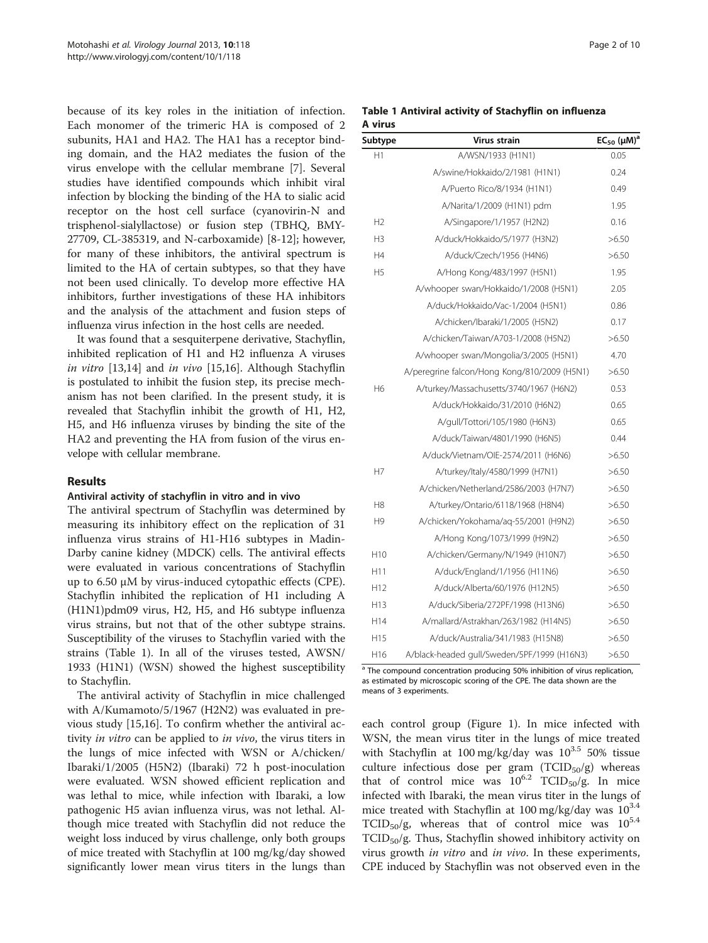because of its key roles in the initiation of infection. Each monomer of the trimeric HA is composed of 2 subunits, HA1 and HA2. The HA1 has a receptor binding domain, and the HA2 mediates the fusion of the virus envelope with the cellular membrane [7]. Several studies have identified compounds which inhibit viral infection by blocking the binding of the HA to sialic acid receptor on the host cell surface (cyanovirin-N and trisphenol-sialyllactose) or fusion step (TBHQ, BMY-27709, CL-385319, and N-carboxamide) [8-12]; however, for many of these inhibitors, the antiviral spectrum is limited to the HA of certain subtypes, so that they have not been used clinically. To develop more effective HA inhibitors, further investigations of these HA inhibitors and the analysis of the attachment and fusion steps of influenza virus infection in the host cells are needed.

It was found that a sesquiterpene derivative, Stachyflin, inhibited replication of H1 and H2 influenza A viruses in vitro [13,14] and in vivo [15,16]. Although Stachyflin is postulated to inhibit the fusion step, its precise mechanism has not been clarified. In the present study, it is revealed that Stachyflin inhibit the growth of H1, H2, H5, and H6 influenza viruses by binding the site of the HA2 and preventing the HA from fusion of the virus envelope with cellular membrane.

# Results

#### Antiviral activity of stachyflin in vitro and in vivo

The antiviral spectrum of Stachyflin was determined by measuring its inhibitory effect on the replication of 31 influenza virus strains of H1-H16 subtypes in Madin-Darby canine kidney (MDCK) cells. The antiviral effects were evaluated in various concentrations of Stachyflin up to 6.50 μM by virus-induced cytopathic effects (CPE). Stachyflin inhibited the replication of H1 including A (H1N1)pdm09 virus, H2, H5, and H6 subtype influenza virus strains, but not that of the other subtype strains. Susceptibility of the viruses to Stachyflin varied with the strains (Table 1). In all of the viruses tested, AWSN/ 1933 (H1N1) (WSN) showed the highest susceptibility to Stachyflin.

The antiviral activity of Stachyflin in mice challenged with A/Kumamoto/5/1967 (H2N2) was evaluated in previous study [15,16]. To confirm whether the antiviral activity *in vitro* can be applied to *in vivo*, the virus titers in the lungs of mice infected with WSN or A/chicken/ Ibaraki/1/2005 (H5N2) (Ibaraki) 72 h post-inoculation were evaluated. WSN showed efficient replication and was lethal to mice, while infection with Ibaraki, a low pathogenic H5 avian influenza virus, was not lethal. Although mice treated with Stachyflin did not reduce the weight loss induced by virus challenge, only both groups of mice treated with Stachyflin at 100 mg/kg/day showed significantly lower mean virus titers in the lungs than

|         |  | Table 1 Antiviral activity of Stachyflin on influenza |  |
|---------|--|-------------------------------------------------------|--|
| A virus |  |                                                       |  |

| Subtype         | Virus strain                                 | $EC_{50}$ (µM) <sup>a</sup> |
|-----------------|----------------------------------------------|-----------------------------|
| H1              | A/WSN/1933 (H1N1)                            | 0.05                        |
|                 | A/swine/Hokkaido/2/1981 (H1N1)               | 0.24                        |
|                 | A/Puerto Rico/8/1934 (H1N1)                  | 0.49                        |
|                 | A/Narita/1/2009 (H1N1) pdm                   | 1.95                        |
| H <sub>2</sub>  | A/Singapore/1/1957 (H2N2)                    | 0.16                        |
| H3              | A/duck/Hokkaido/5/1977 (H3N2)                | >6.50                       |
| H4              | A/duck/Czech/1956 (H4N6)                     | >6.50                       |
| H <sub>5</sub>  | A/Hong Kong/483/1997 (H5N1)                  | 1.95                        |
|                 | A/whooper swan/Hokkaido/1/2008 (H5N1)        | 2.05                        |
|                 | A/duck/Hokkaido/Vac-1/2004 (H5N1)            | 0.86                        |
|                 | A/chicken/Ibaraki/1/2005 (H5N2)              | 0.17                        |
|                 | A/chicken/Taiwan/A703-1/2008 (H5N2)          | >6.50                       |
|                 | A/whooper swan/Mongolia/3/2005 (H5N1)        | 4.70                        |
|                 | A/peregrine falcon/Hong Kong/810/2009 (H5N1) | >6.50                       |
| H <sub>6</sub>  | A/turkey/Massachusetts/3740/1967 (H6N2)      | 0.53                        |
|                 | A/duck/Hokkaido/31/2010 (H6N2)               | 0.65                        |
|                 | A/gull/Tottori/105/1980 (H6N3)               | 0.65                        |
|                 | A/duck/Taiwan/4801/1990 (H6N5)               | 0.44                        |
|                 | A/duck/Vietnam/OIE-2574/2011 (H6N6)          | >6.50                       |
| H7              | A/turkey/Italy/4580/1999 (H7N1)              | >6.50                       |
|                 | A/chicken/Netherland/2586/2003 (H7N7)        | >6.50                       |
| H8              | A/turkey/Ontario/6118/1968 (H8N4)            | >6.50                       |
| H9              | A/chicken/Yokohama/aq-55/2001 (H9N2)         | >6.50                       |
|                 | A/Hong Kong/1073/1999 (H9N2)                 | >6.50                       |
| H <sub>10</sub> | A/chicken/Germany/N/1949 (H10N7)             | >6.50                       |
| H11             | A/duck/England/1/1956 (H11N6)                | >6.50                       |
| H <sub>12</sub> | A/duck/Alberta/60/1976 (H12N5)               | >6.50                       |
| H13             | A/duck/Siberia/272PF/1998 (H13N6)            | >6.50                       |
| H14             | A/mallard/Astrakhan/263/1982 (H14N5)         | >6.50                       |
| H <sub>15</sub> | A/duck/Australia/341/1983 (H15N8)            | >6.50                       |
| H16             | A/black-headed gull/Sweden/5PF/1999 (H16N3)  | >6.50                       |

<sup>a</sup> The compound concentration producing 50% inhibition of virus replication, as estimated by microscopic scoring of the CPE. The data shown are the means of 3 experiments.

each control group (Figure 1). In mice infected with WSN, the mean virus titer in the lungs of mice treated with Stachyflin at 100 mg/kg/day was  $10^{3.5}$  50% tissue culture infectious dose per gram  $(TCID_{50}/g)$  whereas that of control mice was  $10^{6.2}$  TCID<sub>50</sub>/g. In mice infected with Ibaraki, the mean virus titer in the lungs of mice treated with Stachyflin at 100 mg/kg/day was  $10^{3.4}$ TCID<sub>50</sub>/g, whereas that of control mice was  $10^{5.4}$  $TCID<sub>50</sub>/g$ . Thus, Stachyflin showed inhibitory activity on virus growth *in vitro* and *in vivo*. In these experiments, CPE induced by Stachyflin was not observed even in the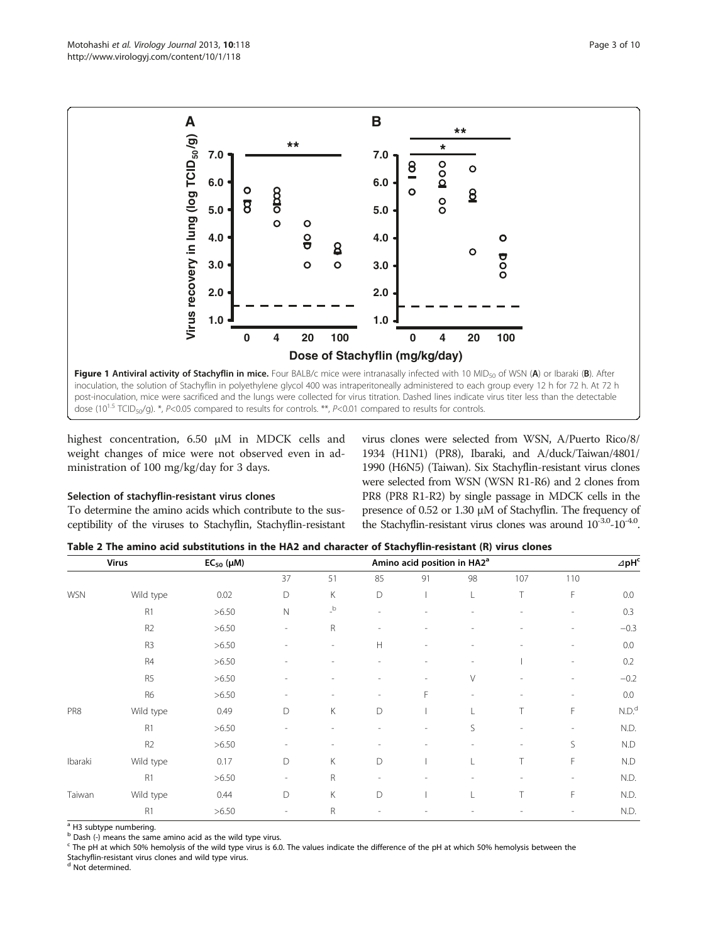

highest concentration, 6.50 μM in MDCK cells and weight changes of mice were not observed even in administration of 100 mg/kg/day for 3 days.

# Selection of stachyflin-resistant virus clones

To determine the amino acids which contribute to the susceptibility of the viruses to Stachyflin, Stachyflin-resistant virus clones were selected from WSN, A/Puerto Rico/8/ 1934 (H1N1) (PR8), Ibaraki, and A/duck/Taiwan/4801/ 1990 (H6N5) (Taiwan). Six Stachyflin-resistant virus clones were selected from WSN (WSN R1-R6) and 2 clones from PR8 (PR8 R1-R2) by single passage in MDCK cells in the presence of 0.52 or 1.30 μM of Stachyflin. The frequency of the Stachyflin-resistant virus clones was around  $10^{-3.0}$ - $10^{-4.0}$ .

| Table 2 The amino acid substitutions in the HA2 and character of Stachyflin-resistant (R) virus clones |  |
|--------------------------------------------------------------------------------------------------------|--|
|--------------------------------------------------------------------------------------------------------|--|

|            | <b>Virus</b>   | $EC_{50}$ ( $\mu$ M) | Amino acid position in HA2 <sup>a</sup> |                          |                          |    |        |                |                          |                   |
|------------|----------------|----------------------|-----------------------------------------|--------------------------|--------------------------|----|--------|----------------|--------------------------|-------------------|
|            |                |                      | 37                                      | 51                       | 85                       | 91 | 98     | 107            | 110                      |                   |
| <b>WSN</b> | Wild type      | 0.02                 | D                                       | К                        | D                        |    | L      | T              | F                        | 0.0               |
|            | R <sub>1</sub> | >6.50                | $\mathsf{N}$                            | $\mathsf{L}^\mathsf{b}$  | $\overline{\phantom{a}}$ |    | ٠      | $\overline{a}$ | $\overline{\phantom{a}}$ | 0.3               |
|            | R <sub>2</sub> | >6.50                | $\overline{\phantom{a}}$                | R                        | $\overline{a}$           |    |        | ÷              | ۰                        | $-0.3$            |
|            | R <sub>3</sub> | >6.50                |                                         | $\overline{\phantom{a}}$ | H                        |    |        |                |                          | 0.0               |
|            | R4             | >6.50                |                                         |                          |                          |    |        |                | $\overline{\phantom{a}}$ | 0.2               |
|            | R <sub>5</sub> | >6.50                |                                         |                          |                          |    | $\vee$ |                |                          | $-0.2$            |
|            | R <sub>6</sub> | >6.50                |                                         | ٠                        | $\overline{a}$           | F  |        | ۰              | $\overline{\phantom{a}}$ | 0.0               |
| PR8        | Wild type      | 0.49                 | D                                       | К                        | D                        |    |        | T              | F                        | N.D. <sup>d</sup> |
|            | R <sub>1</sub> | >6.50                |                                         | ٠                        |                          |    | S      | ٠              |                          | N.D.              |
|            | R <sub>2</sub> | >6.50                | ٠                                       | $\overline{\phantom{a}}$ |                          |    |        | ۰              | S                        | N.D               |
| Ibaraki    | Wild type      | 0.17                 | D                                       | К                        | D                        |    |        | T              | F                        | N.D               |
|            | R <sub>1</sub> | >6.50                | $\overline{\phantom{a}}$                | R                        |                          |    |        |                |                          | N.D.              |
| Taiwan     | Wild type      | 0.44                 | D                                       | К                        | D                        |    |        | T              | F                        | N.D.              |
|            | R <sub>1</sub> | >6.50                | $\overline{a}$                          | $\mathsf R$              |                          |    |        |                |                          | N.D.              |

<sup>a</sup> H3 subtype numbering.

 $<sup>b</sup>$  Dash (-) means the same amino acid as the wild type virus.</sup>

<sup>c</sup> The pH at which 50% hemolysis of the wild type virus is 6.0. The values indicate the difference of the pH at which 50% hemolysis between the

Stachyflin-resistant virus clones and wild type virus.

<sup>d</sup> Not determined.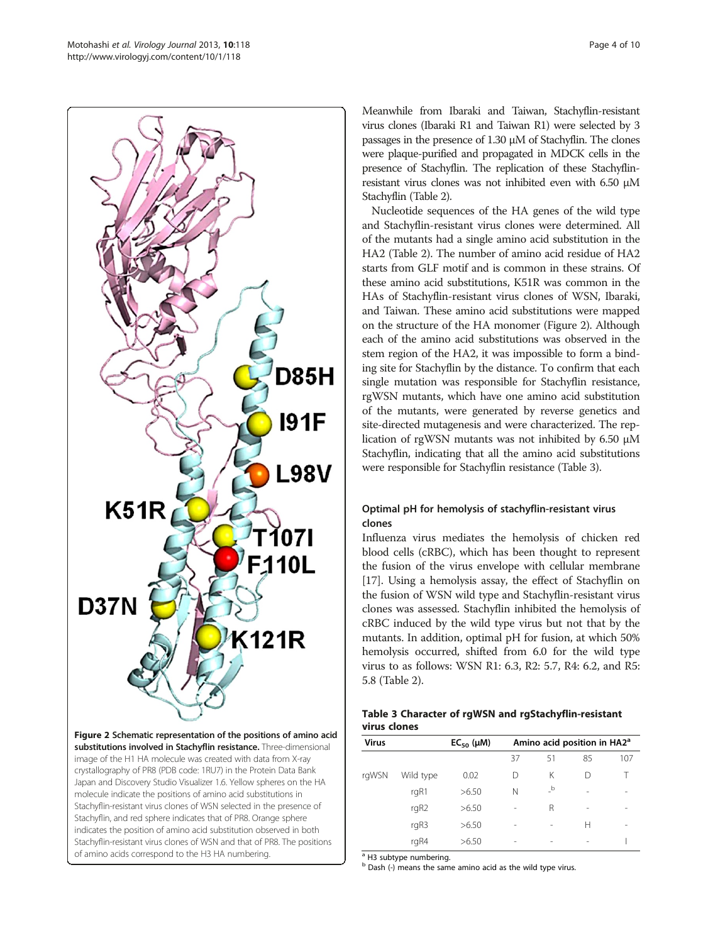

Figure 2 Schematic representation of the positions of amino acid substitutions involved in Stachyflin resistance. Three-dimensional image of the H1 HA molecule was created with data from X-ray crystallography of PR8 (PDB code: 1RU7) in the Protein Data Bank Japan and Discovery Studio Visualizer 1.6. Yellow spheres on the HA molecule indicate the positions of amino acid substitutions in Stachyflin-resistant virus clones of WSN selected in the presence of Stachyflin, and red sphere indicates that of PR8. Orange sphere indicates the position of amino acid substitution observed in both Stachyflin-resistant virus clones of WSN and that of PR8. The positions of amino acids correspond to the H3 HA numbering.

Meanwhile from Ibaraki and Taiwan, Stachyflin-resistant virus clones (Ibaraki R1 and Taiwan R1) were selected by 3 passages in the presence of 1.30 μM of Stachyflin. The clones were plaque-purified and propagated in MDCK cells in the presence of Stachyflin. The replication of these Stachyflinresistant virus clones was not inhibited even with 6.50 μM Stachyflin (Table 2).

Nucleotide sequences of the HA genes of the wild type and Stachyflin-resistant virus clones were determined. All of the mutants had a single amino acid substitution in the HA2 (Table 2). The number of amino acid residue of HA2 starts from GLF motif and is common in these strains. Of these amino acid substitutions, K51R was common in the HAs of Stachyflin-resistant virus clones of WSN, Ibaraki, and Taiwan. These amino acid substitutions were mapped on the structure of the HA monomer (Figure 2). Although each of the amino acid substitutions was observed in the stem region of the HA2, it was impossible to form a binding site for Stachyflin by the distance. To confirm that each single mutation was responsible for Stachyflin resistance, rgWSN mutants, which have one amino acid substitution of the mutants, were generated by reverse genetics and site-directed mutagenesis and were characterized. The replication of rgWSN mutants was not inhibited by 6.50 μM Stachyflin, indicating that all the amino acid substitutions were responsible for Stachyflin resistance (Table 3).

# Optimal pH for hemolysis of stachyflin-resistant virus clones

Influenza virus mediates the hemolysis of chicken red blood cells (cRBC), which has been thought to represent the fusion of the virus envelope with cellular membrane [17]. Using a hemolysis assay, the effect of Stachyflin on the fusion of WSN wild type and Stachyflin-resistant virus clones was assessed. Stachyflin inhibited the hemolysis of cRBC induced by the wild type virus but not that by the mutants. In addition, optimal pH for fusion, at which 50% hemolysis occurred, shifted from 6.0 for the wild type virus to as follows: WSN R1: 6.3, R2: 5.7, R4: 6.2, and R5: 5.8 (Table 2).

# Table 3 Character of rgWSN and rgStachyflin-resistant virus clones

| <b>Virus</b> |                  | $EC_{50}$ ( $\mu$ M) | Amino acid position in HA2 <sup>a</sup> |                                  |                 |                |  |  |
|--------------|------------------|----------------------|-----------------------------------------|----------------------------------|-----------------|----------------|--|--|
|              |                  |                      | 37                                      | 51                               | 85              | 107            |  |  |
| rgWSN        | Wild type        | 0.02                 | D                                       | К                                | D               |                |  |  |
|              | rgR1             | >6.50                | N                                       | $\overline{\phantom{a}}^{\rm b}$ | ٠               |                |  |  |
|              | rgR <sub>2</sub> | >6.50                | $\overline{\phantom{0}}$                | R                                | $\qquad \qquad$ | $\overline{a}$ |  |  |
|              | rgR3             | >6.50                | $\overline{a}$                          |                                  | н               | $\overline{a}$ |  |  |
|              | rgR4             | >6.50                |                                         |                                  |                 |                |  |  |

<sup>a</sup> H3 subtype numbering.

 $<sup>b</sup>$  Dash (-) means the same amino acid as the wild type virus.</sup>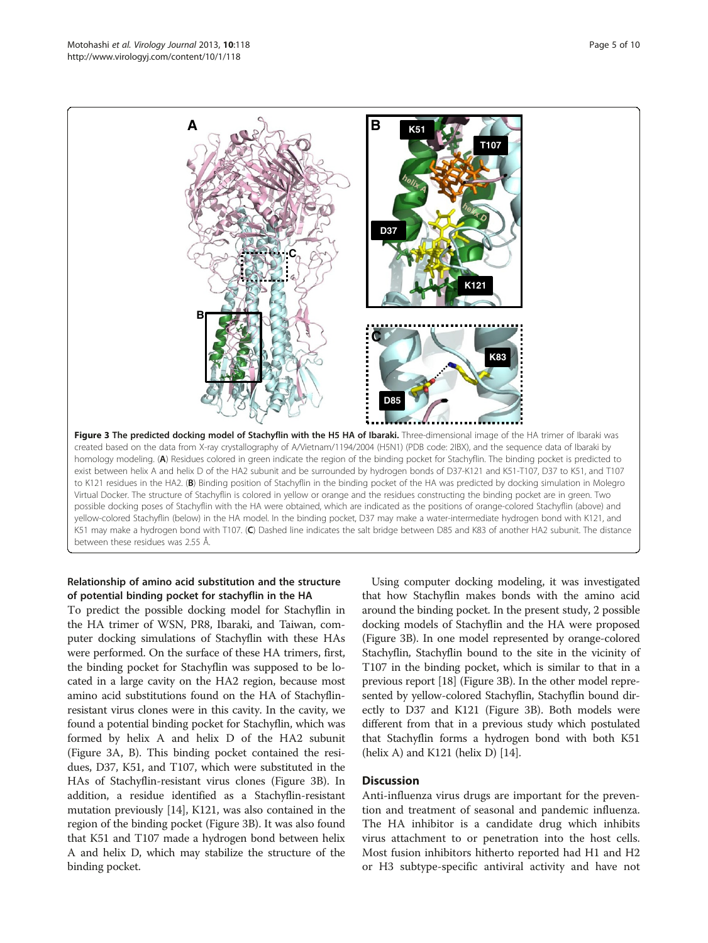

# Relationship of amino acid substitution and the structure of potential binding pocket for stachyflin in the HA

To predict the possible docking model for Stachyflin in the HA trimer of WSN, PR8, Ibaraki, and Taiwan, computer docking simulations of Stachyflin with these HAs were performed. On the surface of these HA trimers, first, the binding pocket for Stachyflin was supposed to be located in a large cavity on the HA2 region, because most amino acid substitutions found on the HA of Stachyflinresistant virus clones were in this cavity. In the cavity, we found a potential binding pocket for Stachyflin, which was formed by helix A and helix D of the HA2 subunit (Figure 3A, B). This binding pocket contained the residues, D37, K51, and T107, which were substituted in the HAs of Stachyflin-resistant virus clones (Figure 3B). In addition, a residue identified as a Stachyflin-resistant mutation previously [14], K121, was also contained in the region of the binding pocket (Figure 3B). It was also found that K51 and T107 made a hydrogen bond between helix A and helix D, which may stabilize the structure of the binding pocket.

Using computer docking modeling, it was investigated that how Stachyflin makes bonds with the amino acid around the binding pocket. In the present study, 2 possible docking models of Stachyflin and the HA were proposed (Figure 3B). In one model represented by orange-colored Stachyflin, Stachyflin bound to the site in the vicinity of T107 in the binding pocket, which is similar to that in a previous report [18] (Figure 3B). In the other model represented by yellow-colored Stachyflin, Stachyflin bound directly to D37 and K121 (Figure 3B). Both models were different from that in a previous study which postulated that Stachyflin forms a hydrogen bond with both K51 (helix A) and K121 (helix D) [14].

# **Discussion**

Anti-influenza virus drugs are important for the prevention and treatment of seasonal and pandemic influenza. The HA inhibitor is a candidate drug which inhibits virus attachment to or penetration into the host cells. Most fusion inhibitors hitherto reported had H1 and H2 or H3 subtype-specific antiviral activity and have not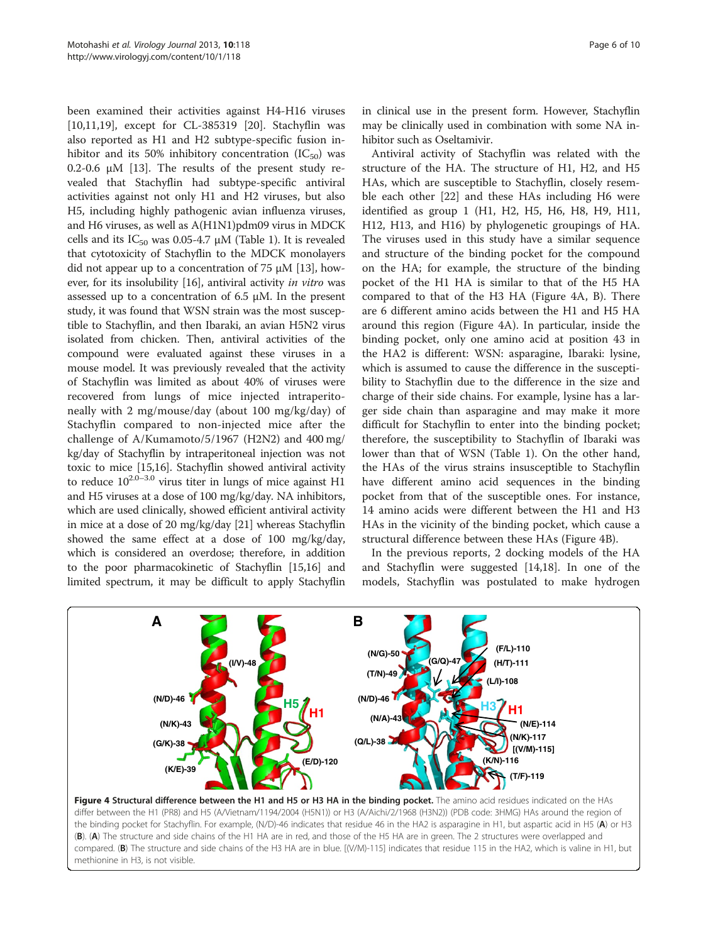been examined their activities against H4-H16 viruses [10,11,19], except for CL-385319 [20]. Stachyflin was also reported as H1 and H2 subtype-specific fusion inhibitor and its 50% inhibitory concentration  $(IC_{50})$  was  $0.2$ -0.6 μM [13]. The results of the present study revealed that Stachyflin had subtype-specific antiviral activities against not only H1 and H2 viruses, but also H5, including highly pathogenic avian influenza viruses, and H6 viruses, as well as A(H1N1)pdm09 virus in MDCK cells and its  $IC_{50}$  was 0.05-4.7  $\mu$ M (Table 1). It is revealed that cytotoxicity of Stachyflin to the MDCK monolayers did not appear up to a concentration of 75 μM [13], however, for its insolubility [16], antiviral activity in vitro was assessed up to a concentration of 6.5 μM. In the present study, it was found that WSN strain was the most susceptible to Stachyflin, and then Ibaraki, an avian H5N2 virus isolated from chicken. Then, antiviral activities of the compound were evaluated against these viruses in a mouse model. It was previously revealed that the activity of Stachyflin was limited as about 40% of viruses were recovered from lungs of mice injected intraperitoneally with 2 mg/mouse/day (about 100 mg/kg/day) of Stachyflin compared to non-injected mice after the challenge of A/Kumamoto/5/1967 (H2N2) and 400 mg/ kg/day of Stachyflin by intraperitoneal injection was not toxic to mice [15,16]. Stachyflin showed antiviral activity to reduce  $10^{2.0-3.0}$  virus titer in lungs of mice against H1 and H5 viruses at a dose of 100 mg/kg/day. NA inhibitors, which are used clinically, showed efficient antiviral activity in mice at a dose of 20 mg/kg/day [21] whereas Stachyflin showed the same effect at a dose of 100 mg/kg/day, which is considered an overdose; therefore, in addition to the poor pharmacokinetic of Stachyflin [15,16] and limited spectrum, it may be difficult to apply Stachyflin

in clinical use in the present form. However, Stachyflin may be clinically used in combination with some NA inhibitor such as Oseltamivir.

Antiviral activity of Stachyflin was related with the structure of the HA. The structure of H1, H2, and H5 HAs, which are susceptible to Stachyflin, closely resemble each other [22] and these HAs including H6 were identified as group 1 (H1, H2, H5, H6, H8, H9, H11, H12, H13, and H16) by phylogenetic groupings of HA. The viruses used in this study have a similar sequence and structure of the binding pocket for the compound on the HA; for example, the structure of the binding pocket of the H1 HA is similar to that of the H5 HA compared to that of the H3 HA (Figure 4A, B). There are 6 different amino acids between the H1 and H5 HA around this region (Figure 4A). In particular, inside the binding pocket, only one amino acid at position 43 in the HA2 is different: WSN: asparagine, Ibaraki: lysine, which is assumed to cause the difference in the susceptibility to Stachyflin due to the difference in the size and charge of their side chains. For example, lysine has a larger side chain than asparagine and may make it more difficult for Stachyflin to enter into the binding pocket; therefore, the susceptibility to Stachyflin of Ibaraki was lower than that of WSN (Table 1). On the other hand, the HAs of the virus strains insusceptible to Stachyflin have different amino acid sequences in the binding pocket from that of the susceptible ones. For instance, 14 amino acids were different between the H1 and H3 HAs in the vicinity of the binding pocket, which cause a structural difference between these HAs (Figure 4B).

In the previous reports, 2 docking models of the HA and Stachyflin were suggested [14,18]. In one of the models, Stachyflin was postulated to make hydrogen



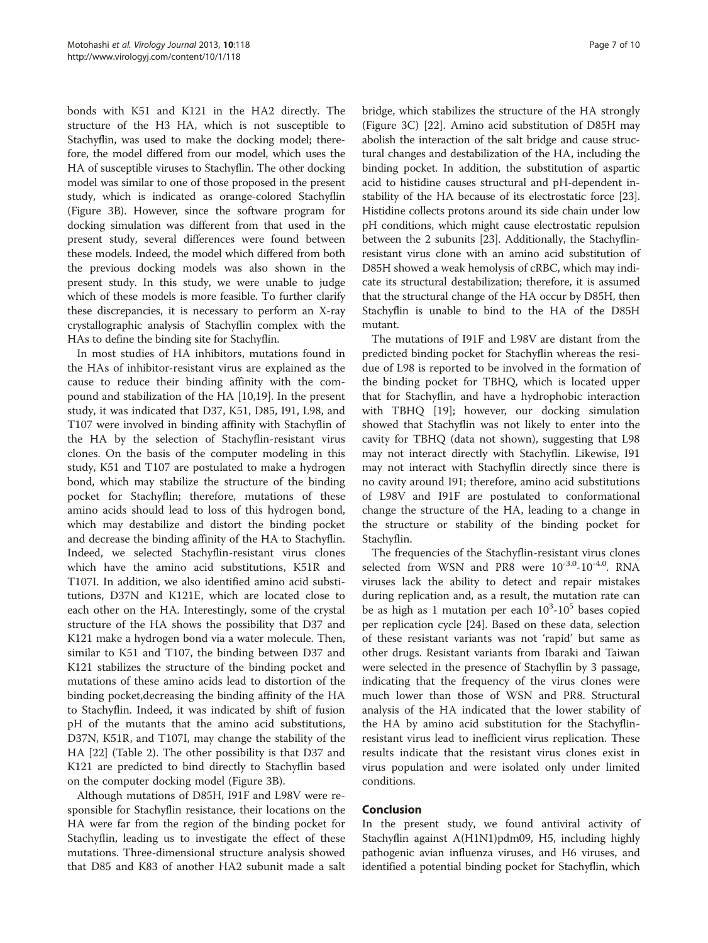bonds with K51 and K121 in the HA2 directly. The structure of the H3 HA, which is not susceptible to Stachyflin, was used to make the docking model; therefore, the model differed from our model, which uses the HA of susceptible viruses to Stachyflin. The other docking model was similar to one of those proposed in the present study, which is indicated as orange-colored Stachyflin (Figure 3B). However, since the software program for docking simulation was different from that used in the present study, several differences were found between these models. Indeed, the model which differed from both the previous docking models was also shown in the present study. In this study, we were unable to judge which of these models is more feasible. To further clarify these discrepancies, it is necessary to perform an X-ray crystallographic analysis of Stachyflin complex with the HAs to define the binding site for Stachyflin.

In most studies of HA inhibitors, mutations found in the HAs of inhibitor-resistant virus are explained as the cause to reduce their binding affinity with the compound and stabilization of the HA [10,19]. In the present study, it was indicated that D37, K51, D85, I91, L98, and T107 were involved in binding affinity with Stachyflin of the HA by the selection of Stachyflin-resistant virus clones. On the basis of the computer modeling in this study, K51 and T107 are postulated to make a hydrogen bond, which may stabilize the structure of the binding pocket for Stachyflin; therefore, mutations of these amino acids should lead to loss of this hydrogen bond, which may destabilize and distort the binding pocket and decrease the binding affinity of the HA to Stachyflin. Indeed, we selected Stachyflin-resistant virus clones which have the amino acid substitutions, K51R and T107I. In addition, we also identified amino acid substitutions, D37N and K121E, which are located close to each other on the HA. Interestingly, some of the crystal structure of the HA shows the possibility that D37 and K121 make a hydrogen bond via a water molecule. Then, similar to K51 and T107, the binding between D37 and K121 stabilizes the structure of the binding pocket and mutations of these amino acids lead to distortion of the binding pocket,decreasing the binding affinity of the HA to Stachyflin. Indeed, it was indicated by shift of fusion pH of the mutants that the amino acid substitutions, D37N, K51R, and T107I, may change the stability of the HA [22] (Table 2). The other possibility is that D37 and K121 are predicted to bind directly to Stachyflin based on the computer docking model (Figure 3B).

Although mutations of D85H, I91F and L98V were responsible for Stachyflin resistance, their locations on the HA were far from the region of the binding pocket for Stachyflin, leading us to investigate the effect of these mutations. Three-dimensional structure analysis showed that D85 and K83 of another HA2 subunit made a salt

bridge, which stabilizes the structure of the HA strongly (Figure 3C) [22]. Amino acid substitution of D85H may abolish the interaction of the salt bridge and cause structural changes and destabilization of the HA, including the binding pocket. In addition, the substitution of aspartic acid to histidine causes structural and pH-dependent instability of the HA because of its electrostatic force [23]. Histidine collects protons around its side chain under low pH conditions, which might cause electrostatic repulsion between the 2 subunits [23]. Additionally, the Stachyflinresistant virus clone with an amino acid substitution of D85H showed a weak hemolysis of cRBC, which may indicate its structural destabilization; therefore, it is assumed that the structural change of the HA occur by D85H, then Stachyflin is unable to bind to the HA of the D85H mutant.

The mutations of I91F and L98V are distant from the predicted binding pocket for Stachyflin whereas the residue of L98 is reported to be involved in the formation of the binding pocket for TBHQ, which is located upper that for Stachyflin, and have a hydrophobic interaction with TBHQ [19]; however, our docking simulation showed that Stachyflin was not likely to enter into the cavity for TBHQ (data not shown), suggesting that L98 may not interact directly with Stachyflin. Likewise, I91 may not interact with Stachyflin directly since there is no cavity around I91; therefore, amino acid substitutions of L98V and I91F are postulated to conformational change the structure of the HA, leading to a change in the structure or stability of the binding pocket for Stachyflin.

The frequencies of the Stachyflin-resistant virus clones selected from WSN and PR8 were  $10^{-3.0}$ - $10^{-4.0}$ . RNA viruses lack the ability to detect and repair mistakes during replication and, as a result, the mutation rate can be as high as 1 mutation per each  $10^3$ - $10^5$  bases copied per replication cycle [24]. Based on these data, selection of these resistant variants was not 'rapid' but same as other drugs. Resistant variants from Ibaraki and Taiwan were selected in the presence of Stachyflin by 3 passage, indicating that the frequency of the virus clones were much lower than those of WSN and PR8. Structural analysis of the HA indicated that the lower stability of the HA by amino acid substitution for the Stachyflinresistant virus lead to inefficient virus replication. These results indicate that the resistant virus clones exist in virus population and were isolated only under limited conditions.

# Conclusion

In the present study, we found antiviral activity of Stachyflin against A(H1N1)pdm09, H5, including highly pathogenic avian influenza viruses, and H6 viruses, and identified a potential binding pocket for Stachyflin, which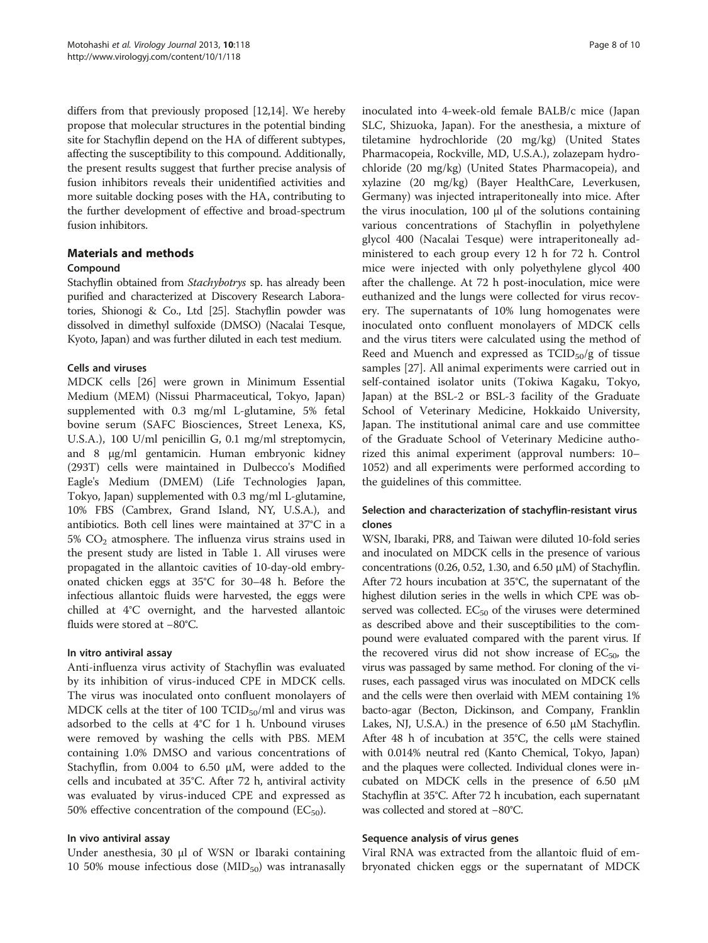differs from that previously proposed [12,14]. We hereby propose that molecular structures in the potential binding site for Stachyflin depend on the HA of different subtypes, affecting the susceptibility to this compound. Additionally, the present results suggest that further precise analysis of fusion inhibitors reveals their unidentified activities and more suitable docking poses with the HA, contributing to the further development of effective and broad-spectrum fusion inhibitors.

# Materials and methods

#### Compound

Stachyflin obtained from Stachybotrys sp. has already been purified and characterized at Discovery Research Laboratories, Shionogi & Co., Ltd [25]. Stachyflin powder was dissolved in dimethyl sulfoxide (DMSO) (Nacalai Tesque, Kyoto, Japan) and was further diluted in each test medium.

#### Cells and viruses

MDCK cells [26] were grown in Minimum Essential Medium (MEM) (Nissui Pharmaceutical, Tokyo, Japan) supplemented with 0.3 mg/ml L-glutamine, 5% fetal bovine serum (SAFC Biosciences, Street Lenexa, KS, U.S.A.), 100 U/ml penicillin G, 0.1 mg/ml streptomycin, and 8 μg/ml gentamicin. Human embryonic kidney (293T) cells were maintained in Dulbecco's Modified Eagle's Medium (DMEM) (Life Technologies Japan, Tokyo, Japan) supplemented with 0.3 mg/ml L-glutamine, 10% FBS (Cambrex, Grand Island, NY, U.S.A.), and antibiotics. Both cell lines were maintained at 37°C in a 5%  $CO<sub>2</sub>$  atmosphere. The influenza virus strains used in the present study are listed in Table 1. All viruses were propagated in the allantoic cavities of 10-day-old embryonated chicken eggs at 35°C for 30–48 h. Before the infectious allantoic fluids were harvested, the eggs were chilled at 4°C overnight, and the harvested allantoic fluids were stored at −80°C.

#### In vitro antiviral assay

Anti-influenza virus activity of Stachyflin was evaluated by its inhibition of virus-induced CPE in MDCK cells. The virus was inoculated onto confluent monolayers of MDCK cells at the titer of 100  $\text{TCID}_{50}/\text{ml}$  and virus was adsorbed to the cells at 4°C for 1 h. Unbound viruses were removed by washing the cells with PBS. MEM containing 1.0% DMSO and various concentrations of Stachyflin, from 0.004 to 6.50 μM, were added to the cells and incubated at 35°C. After 72 h, antiviral activity was evaluated by virus-induced CPE and expressed as 50% effective concentration of the compound  $(EC_{50})$ .

# In vivo antiviral assay

Under anesthesia, 30 μl of WSN or Ibaraki containing 10 50% mouse infectious dose  $(MID_{50})$  was intranasally

inoculated into 4-week-old female BALB/c mice (Japan SLC, Shizuoka, Japan). For the anesthesia, a mixture of tiletamine hydrochloride (20 mg/kg) (United States Pharmacopeia, Rockville, MD, U.S.A.), zolazepam hydrochloride (20 mg/kg) (United States Pharmacopeia), and xylazine (20 mg/kg) (Bayer HealthCare, Leverkusen, Germany) was injected intraperitoneally into mice. After the virus inoculation, 100 μl of the solutions containing various concentrations of Stachyflin in polyethylene glycol 400 (Nacalai Tesque) were intraperitoneally administered to each group every 12 h for 72 h. Control mice were injected with only polyethylene glycol 400 after the challenge. At 72 h post-inoculation, mice were euthanized and the lungs were collected for virus recovery. The supernatants of 10% lung homogenates were inoculated onto confluent monolayers of MDCK cells and the virus titers were calculated using the method of Reed and Muench and expressed as  $TCID<sub>50</sub>/g$  of tissue samples [27]. All animal experiments were carried out in self-contained isolator units (Tokiwa Kagaku, Tokyo, Japan) at the BSL-2 or BSL-3 facility of the Graduate School of Veterinary Medicine, Hokkaido University, Japan. The institutional animal care and use committee of the Graduate School of Veterinary Medicine authorized this animal experiment (approval numbers: 10– 1052) and all experiments were performed according to the guidelines of this committee.

# Selection and characterization of stachyflin-resistant virus clones

WSN, Ibaraki, PR8, and Taiwan were diluted 10-fold series and inoculated on MDCK cells in the presence of various concentrations (0.26, 0.52, 1.30, and 6.50  $\mu$ M) of Stachyflin. After 72 hours incubation at 35°C, the supernatant of the highest dilution series in the wells in which CPE was observed was collected.  $EC_{50}$  of the viruses were determined as described above and their susceptibilities to the compound were evaluated compared with the parent virus. If the recovered virus did not show increase of  $EC_{50}$ , the virus was passaged by same method. For cloning of the viruses, each passaged virus was inoculated on MDCK cells and the cells were then overlaid with MEM containing 1% bacto-agar (Becton, Dickinson, and Company, Franklin Lakes, NJ, U.S.A.) in the presence of 6.50 μM Stachyflin. After 48 h of incubation at 35°C, the cells were stained with 0.014% neutral red (Kanto Chemical, Tokyo, Japan) and the plaques were collected. Individual clones were incubated on MDCK cells in the presence of 6.50 μM Stachyflin at 35°C. After 72 h incubation, each supernatant was collected and stored at −80°C.

# Sequence analysis of virus genes

Viral RNA was extracted from the allantoic fluid of embryonated chicken eggs or the supernatant of MDCK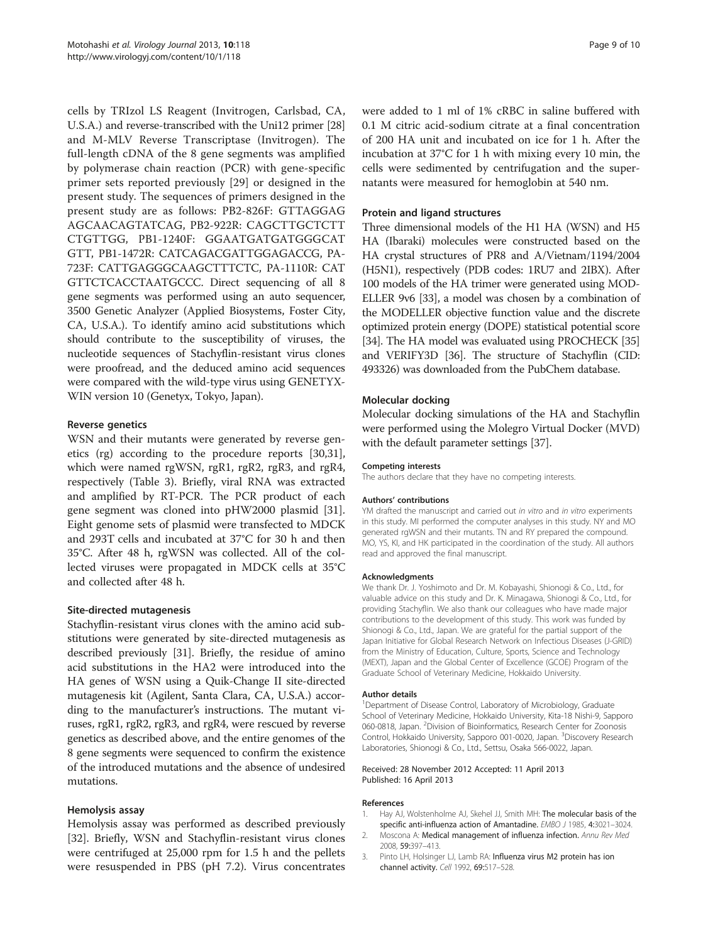cells by TRIzol LS Reagent (Invitrogen, Carlsbad, CA, U.S.A.) and reverse-transcribed with the Uni12 primer [28] and M-MLV Reverse Transcriptase (Invitrogen). The full-length cDNA of the 8 gene segments was amplified by polymerase chain reaction (PCR) with gene-specific primer sets reported previously [29] or designed in the present study. The sequences of primers designed in the present study are as follows: PB2-826F: GTTAGGAG AGCAACAGTATCAG, PB2-922R: CAGCTTGCTCTT CTGTTGG, PB1-1240F: GGAATGATGATGGGCAT GTT, PB1-1472R: CATCAGACGATTGGAGACCG, PA-723F: CATTGAGGGCAAGCTTTCTC, PA-1110R: CAT GTTCTCACCTAATGCCC. Direct sequencing of all 8 gene segments was performed using an auto sequencer, 3500 Genetic Analyzer (Applied Biosystems, Foster City, CA, U.S.A.). To identify amino acid substitutions which should contribute to the susceptibility of viruses, the nucleotide sequences of Stachyflin-resistant virus clones were proofread, and the deduced amino acid sequences were compared with the wild-type virus using GENETYX-WIN version 10 (Genetyx, Tokyo, Japan).

# Reverse genetics

WSN and their mutants were generated by reverse genetics (rg) according to the procedure reports [30,31], which were named rgWSN, rgR1, rgR2, rgR3, and rgR4, respectively (Table 3). Briefly, viral RNA was extracted and amplified by RT-PCR. The PCR product of each gene segment was cloned into pHW2000 plasmid [31]. Eight genome sets of plasmid were transfected to MDCK and 293T cells and incubated at 37°C for 30 h and then 35°C. After 48 h, rgWSN was collected. All of the collected viruses were propagated in MDCK cells at 35°C and collected after 48 h.

# Site-directed mutagenesis

Stachyflin-resistant virus clones with the amino acid substitutions were generated by site-directed mutagenesis as described previously [31]. Briefly, the residue of amino acid substitutions in the HA2 were introduced into the HA genes of WSN using a Quik-Change II site-directed mutagenesis kit (Agilent, Santa Clara, CA, U.S.A.) according to the manufacturer's instructions. The mutant viruses, rgR1, rgR2, rgR3, and rgR4, were rescued by reverse genetics as described above, and the entire genomes of the 8 gene segments were sequenced to confirm the existence of the introduced mutations and the absence of undesired mutations.

# Hemolysis assay

Hemolysis assay was performed as described previously [32]. Briefly, WSN and Stachyflin-resistant virus clones were centrifuged at 25,000 rpm for 1.5 h and the pellets were resuspended in PBS (pH 7.2). Virus concentrates

were added to 1 ml of 1% cRBC in saline buffered with 0.1 M citric acid-sodium citrate at a final concentration of 200 HA unit and incubated on ice for 1 h. After the incubation at 37°C for 1 h with mixing every 10 min, the cells were sedimented by centrifugation and the supernatants were measured for hemoglobin at 540 nm.

#### Protein and ligand structures

Three dimensional models of the H1 HA (WSN) and H5 HA (Ibaraki) molecules were constructed based on the HA crystal structures of PR8 and A/Vietnam/1194/2004 (H5N1), respectively (PDB codes: 1RU7 and 2IBX). After 100 models of the HA trimer were generated using MOD-ELLER 9v6 [33], a model was chosen by a combination of the MODELLER objective function value and the discrete optimized protein energy (DOPE) statistical potential score [34]. The HA model was evaluated using PROCHECK [35] and VERIFY3D [36]. The structure of Stachyflin (CID: 493326) was downloaded from the PubChem database.

#### Molecular docking

Molecular docking simulations of the HA and Stachyflin were performed using the Molegro Virtual Docker (MVD) with the default parameter settings [37].

#### Competing interests

The authors declare that they have no competing interests.

#### Authors' contributions

YM drafted the manuscript and carried out in vitro and in vitro experiments in this study. MI performed the computer analyses in this study. NY and MO generated rgWSN and their mutants. TN and RY prepared the compound. MO, YS, KI, and HK participated in the coordination of the study. All authors read and approved the final manuscript.

#### Acknowledgments

We thank Dr. J. Yoshimoto and Dr. M. Kobayashi, Shionogi & Co., Ltd., for valuable advice on this study and Dr. K. Minagawa, Shionogi & Co., Ltd., for providing Stachyflin. We also thank our colleagues who have made major contributions to the development of this study. This work was funded by Shionogi & Co., Ltd., Japan. We are grateful for the partial support of the Japan Initiative for Global Research Network on Infectious Diseases (J-GRID) from the Ministry of Education, Culture, Sports, Science and Technology (MEXT), Japan and the Global Center of Excellence (GCOE) Program of the Graduate School of Veterinary Medicine, Hokkaido University.

#### Author details

<sup>1</sup>Department of Disease Control, Laboratory of Microbiology, Graduate School of Veterinary Medicine, Hokkaido University, Kita-18 Nishi-9, Sapporo 060-0818, Japan. <sup>2</sup> Division of Bioinformatics, Research Center for Zoonosis Control, Hokkaido University, Sapporo 001-0020, Japan. <sup>3</sup>Discovery Research Laboratories, Shionogi & Co., Ltd., Settsu, Osaka 566-0022, Japan.

#### Received: 28 November 2012 Accepted: 11 April 2013 Published: 16 April 2013

#### References

- 1. Hay AJ, Wolstenholme AJ, Skehel JJ, Smith MH: The molecular basis of the specific anti-influenza action of Amantadine. EMBO J 1985, 4:3021–3024.
- 2. Moscona A: Medical management of influenza infection. Annu Rev Med 2008, 59:397–413.
- 3. Pinto LH, Holsinger LJ, Lamb RA: Influenza virus M2 protein has ion channel activity. Cell 1992, 69:517–528.